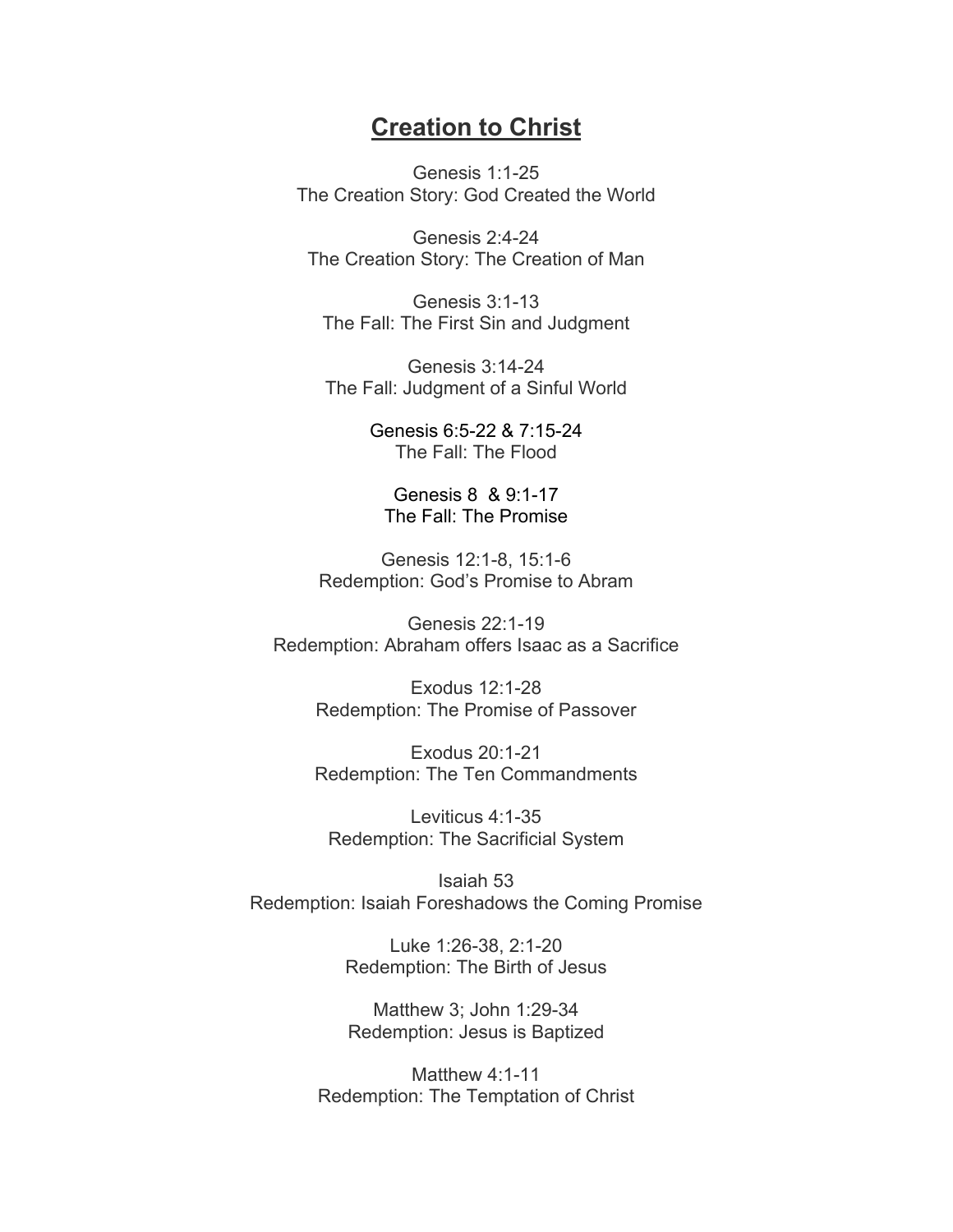## **Creation to Christ**

Genesis 1:1-25 The Creation Story: God Created the World

Genesis 2:4-24 The Creation Story: The Creation of Man

Genesis 3:1-13 The Fall: The First Sin and Judgment

Genesis 3:14-24 The Fall: Judgment of a Sinful World

> Genesis 6:5-22 & 7:15-24 The Fall: The Flood

Genesis 8 & 9:1-17 The Fall: The Promise

Genesis 12:1-8, 15:1-6 Redemption: God's Promise to Abram

Genesis 22:1-19 Redemption: Abraham offers Isaac as a Sacrifice

> Exodus 12:1-28 Redemption: The Promise of Passover

> Exodus 20:1-21 Redemption: The Ten Commandments

Leviticus 4:1-35 Redemption: The Sacrificial System

Isaiah 53 Redemption: Isaiah Foreshadows the Coming Promise

> Luke 1:26-38, 2:1-20 Redemption: The Birth of Jesus

> Matthew 3; John 1:29-34 Redemption: Jesus is Baptized

Matthew 4:1-11 Redemption: The Temptation of Christ